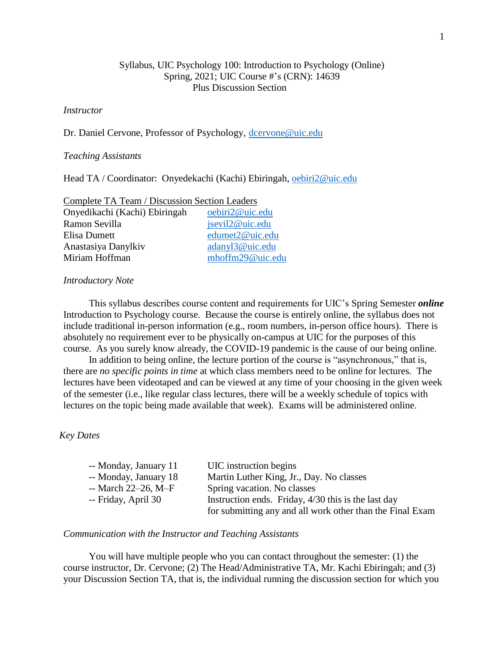# Syllabus, UIC Psychology 100: Introduction to Psychology (Online) Spring, 2021; UIC Course #'s (CRN): 14639 Plus Discussion Section

# *Instructor*

Dr. Daniel Cervone, Professor of Psychology, [dcervone@uic.edu](mailto:dcervone@uic.edu)

### *Teaching Assistants*

Head TA / Coordinator: Onyedekachi (Kachi) Ebiringah, [oebiri2@uic.edu](mailto:oebiri2@uic.edu)

| <b>Complete TA Team / Discussion Section Leaders</b> |                  |
|------------------------------------------------------|------------------|
| Onyedikachi (Kachi) Ebiringah                        | oebiri2@uic.edu  |
| Ramon Sevilla                                        | jsevil2@uic.edu  |
| Elisa Dumett                                         | edumet2@uic.edu  |
| Anastasiya Danylkiv                                  | adanyl3@uic.edu  |
| Miriam Hoffman                                       | mhoffm29@uic.edu |

### *Introductory Note*

This syllabus describes course content and requirements for UIC's Spring Semester *online* Introduction to Psychology course. Because the course is entirely online, the syllabus does not include traditional in-person information (e.g., room numbers, in-person office hours). There is absolutely no requirement ever to be physically on-campus at UIC for the purposes of this course. As you surely know already, the COVID-19 pandemic is the cause of our being online.

In addition to being online, the lecture portion of the course is "asynchronous," that is, there are *no specific points in time* at which class members need to be online for lectures. The lectures have been videotaped and can be viewed at any time of your choosing in the given week of the semester (i.e., like regular class lectures, there will be a weekly schedule of topics with lectures on the topic being made available that week). Exams will be administered online.

# *Key Dates*

| -- Monday, January 11 | UIC instruction begins                                    |
|-----------------------|-----------------------------------------------------------|
| -- Monday, January 18 | Martin Luther King, Jr., Day. No classes                  |
| $-$ March 22–26, M–F  | Spring vacation. No classes                               |
| -- Friday, April 30   | Instruction ends. Friday, 4/30 this is the last day       |
|                       | for submitting any and all work other than the Final Exam |

# *Communication with the Instructor and Teaching Assistants*

You will have multiple people who you can contact throughout the semester: (1) the course instructor, Dr. Cervone; (2) The Head/Administrative TA, Mr. Kachi Ebiringah; and (3) your Discussion Section TA, that is, the individual running the discussion section for which you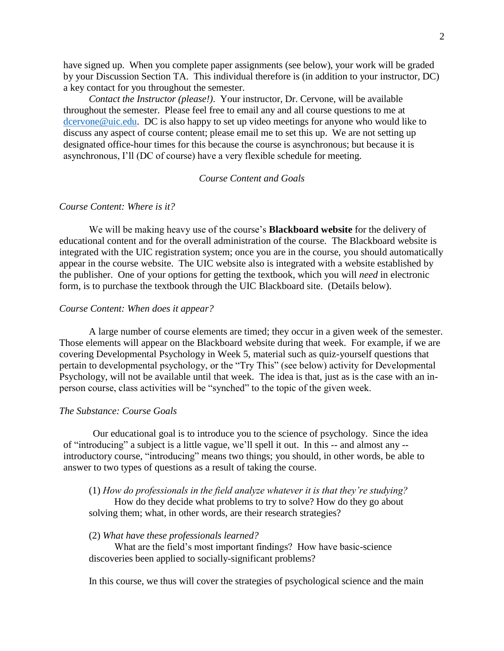have signed up. When you complete paper assignments (see below), your work will be graded by your Discussion Section TA. This individual therefore is (in addition to your instructor, DC) a key contact for you throughout the semester.

*Contact the Instructor (please!)*. Your instructor, Dr. Cervone, will be available throughout the semester. Please feel free to email any and all course questions to me at [dcervone@uic.edu.](mailto:dcervone@uic.edu) DC is also happy to set up video meetings for anyone who would like to discuss any aspect of course content; please email me to set this up. We are not setting up designated office-hour times for this because the course is asynchronous; but because it is asynchronous, I'll (DC of course) have a very flexible schedule for meeting.

### *Course Content and Goals*

# *Course Content: Where is it?*

We will be making heavy use of the course's **Blackboard website** for the delivery of educational content and for the overall administration of the course. The Blackboard website is integrated with the UIC registration system; once you are in the course, you should automatically appear in the course website. The UIC website also is integrated with a website established by the publisher. One of your options for getting the textbook, which you will *need* in electronic form, is to purchase the textbook through the UIC Blackboard site. (Details below).

## *Course Content: When does it appear?*

A large number of course elements are timed; they occur in a given week of the semester. Those elements will appear on the Blackboard website during that week. For example, if we are covering Developmental Psychology in Week 5, material such as quiz-yourself questions that pertain to developmental psychology, or the "Try This" (see below) activity for Developmental Psychology, will not be available until that week. The idea is that, just as is the case with an inperson course, class activities will be "synched" to the topic of the given week.

### *The Substance: Course Goals*

Our educational goal is to introduce you to the science of psychology. Since the idea of "introducing" a subject is a little vague, we'll spell it out. In this -- and almost any - introductory course, "introducing" means two things; you should, in other words, be able to answer to two types of questions as a result of taking the course.

### (1) *How do professionals in the field analyze whatever it is that they're studying?*

How do they decide what problems to try to solve? How do they go about solving them; what, in other words, are their research strategies?

### (2) *What have these professionals learned?*

What are the field's most important findings? How have basic-science discoveries been applied to socially-significant problems?

In this course, we thus will cover the strategies of psychological science and the main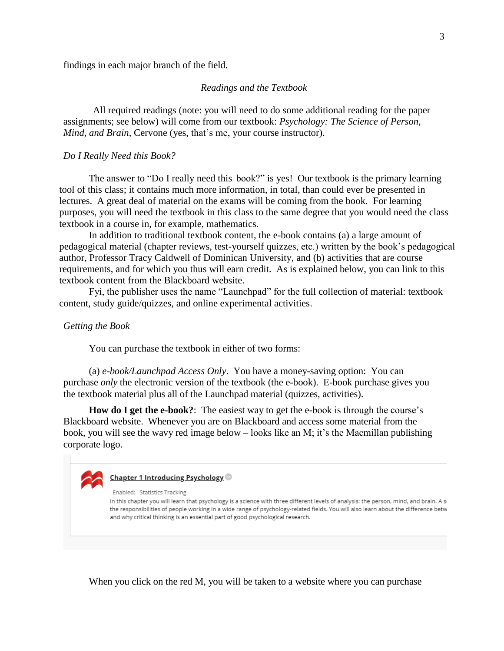findings in each major branch of the field.

### *Readings and the Textbook*

All required readings (note: you will need to do some additional reading for the paper assignments; see below) will come from our textbook: *Psychology: The Science of Person, Mind, and Brain*, Cervone (yes, that's me, your course instructor).

#### *Do I Really Need this Book?*

The answer to "Do I really need this book?" is yes! Our textbook is the primary learning tool of this class; it contains much more information, in total, than could ever be presented in lectures. A great deal of material on the exams will be coming from the book. For learning purposes, you will need the textbook in this class to the same degree that you would need the class textbook in a course in, for example, mathematics.

In addition to traditional textbook content, the e-book contains (a) a large amount of pedagogical material (chapter reviews, test-yourself quizzes, etc.) written by the book's pedagogical author, Professor Tracy Caldwell of Dominican University, and (b) activities that are course requirements, and for which you thus will earn credit. As is explained below, you can link to this textbook content from the Blackboard website.

Fyi, the publisher uses the name "Launchpad" for the full collection of material: textbook content, study guide/quizzes, and online experimental activities.

### *Getting the Book*

You can purchase the textbook in either of two forms:

(a) *e-book/Launchpad Access Only*. You have a money-saving option: You can purchase *only* the electronic version of the textbook (the e-book). E-book purchase gives you the textbook material plus all of the Launchpad material (quizzes, activities).

**How do I get the e-book?**: The easiest way to get the e-book is through the course's Blackboard website. Whenever you are on Blackboard and access some material from the book, you will see the wavy red image below – looks like an M; it's the Macmillan publishing corporate logo.



### Chapter 1 Introducing Psychology

Enabled: Statistics Tracking

In this chapter you will learn that psychology is a science with three different levels of analysis: the person, mind, and brain. A si the responsibilities of people working in a wide range of psychology-related fields. You will also learn about the difference betw and why critical thinking is an essential part of good psychological research.

When you click on the red M, you will be taken to a website where you can purchase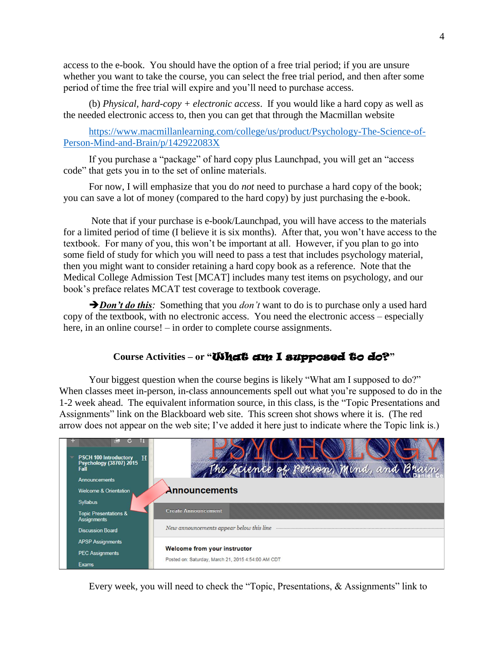access to the e-book. You should have the option of a free trial period; if you are unsure whether you want to take the course, you can select the free trial period, and then after some period of time the free trial will expire and you'll need to purchase access.

(b) *Physical, hard-copy + electronic access*. If you would like a hard copy as well as the needed electronic access to, then you can get that through the Macmillan website

[https://www.macmillanlearning.com/college/us/product/Psychology-The-Science-of-](https://www.macmillanlearning.com/college/us/product/Psychology-The-Science-of-Person-Mind-and-Brain/p/142922083X)[Person-Mind-and-Brain/p/142922083X](https://www.macmillanlearning.com/college/us/product/Psychology-The-Science-of-Person-Mind-and-Brain/p/142922083X)

If you purchase a "package" of hard copy plus Launchpad, you will get an "access code" that gets you in to the set of online materials.

For now, I will emphasize that you do *not* need to purchase a hard copy of the book; you can save a lot of money (compared to the hard copy) by just purchasing the e-book.

Note that if your purchase is e-book/Launchpad, you will have access to the materials for a limited period of time (I believe it is six months). After that, you won't have access to the textbook. For many of you, this won't be important at all. However, if you plan to go into some field of study for which you will need to pass a test that includes psychology material, then you might want to consider retaining a hard copy book as a reference. Note that the Medical College Admission Test [MCAT] includes many test items on psychology, and our book's preface relates MCAT test coverage to textbook coverage.

*Don't do this*: Something that you *don't* want to do is to purchase only a used hard copy of the textbook, with no electronic access. You need the electronic access – especially here, in an online course! – in order to complete course assignments.

# **Course Activities – or "**What am I supposed to do?**"**

Your biggest question when the course begins is likely "What am I supposed to do?" When classes meet in-person, in-class announcements spell out what you're supposed to do in the 1-2 week ahead. The equivalent information source, in this class, is the "Topic Presentations and Assignments" link on the Blackboard web site. This screen shot shows where it is. (The red arrow does not appear on the web site; I've added it here just to indicate where the Topic link is.)



Every week, you will need to check the "Topic, Presentations, & Assignments" link to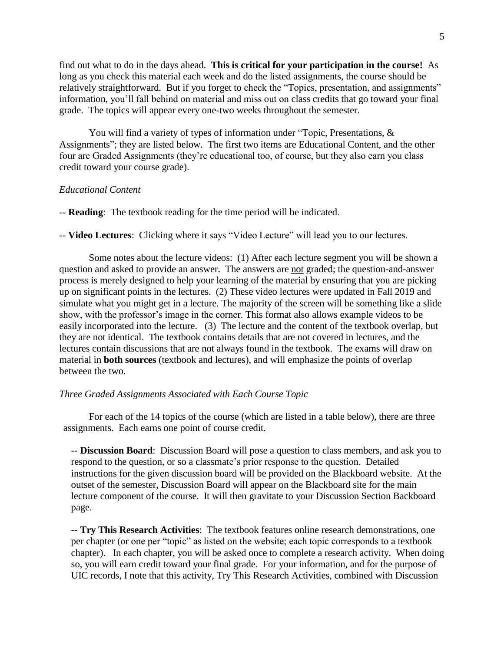find out what to do in the days ahead. **This is critical for your participation in the course!** As long as you check this material each week and do the listed assignments, the course should be relatively straightforward. But if you forget to check the "Topics, presentation, and assignments" information, you'll fall behind on material and miss out on class credits that go toward your final grade. The topics will appear every one-two weeks throughout the semester.

You will find a variety of types of information under "Topic, Presentations, & Assignments"; they are listed below. The first two items are Educational Content, and the other four are Graded Assignments (they're educational too, of course, but they also earn you class credit toward your course grade).

## *Educational Content*

-- **Reading**: The textbook reading for the time period will be indicated.

-- **Video Lectures**: Clicking where it says "Video Lecture" will lead you to our lectures.

Some notes about the lecture videos: (1) After each lecture segment you will be shown a question and asked to provide an answer. The answers are not graded; the question-and-answer process is merely designed to help your learning of the material by ensuring that you are picking up on significant points in the lectures. (2) These video lectures were updated in Fall 2019 and simulate what you might get in a lecture. The majority of the screen will be something like a slide show, with the professor's image in the corner. This format also allows example videos to be easily incorporated into the lecture. (3) The lecture and the content of the textbook overlap, but they are not identical. The textbook contains details that are not covered in lectures, and the lectures contain discussions that are not always found in the textbook. The exams will draw on material in **both sources** (textbook and lectures), and will emphasize the points of overlap between the two.

## *Three Graded Assignments Associated with Each Course Topic*

For each of the 14 topics of the course (which are listed in a table below), there are three assignments. Each earns one point of course credit.

-- **Discussion Board**: Discussion Board will pose a question to class members, and ask you to respond to the question, or so a classmate's prior response to the question. Detailed instructions for the given discussion board will be provided on the Blackboard website. At the outset of the semester, Discussion Board will appear on the Blackboard site for the main lecture component of the course. It will then gravitate to your Discussion Section Backboard page.

-- **Try This Research Activities**: The textbook features online research demonstrations, one per chapter (or one per "topic" as listed on the website; each topic corresponds to a textbook chapter). In each chapter, you will be asked once to complete a research activity. When doing so, you will earn credit toward your final grade. For your information, and for the purpose of UIC records, I note that this activity, Try This Research Activities, combined with Discussion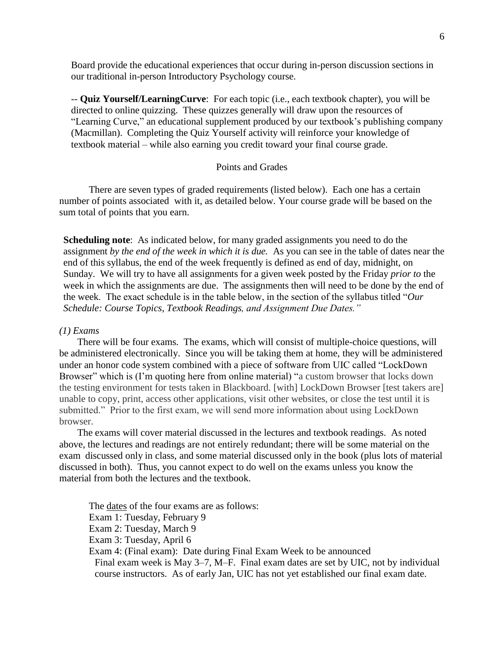Board provide the educational experiences that occur during in-person discussion sections in our traditional in-person Introductory Psychology course.

-- **Quiz Yourself/LearningCurve**: For each topic (i.e., each textbook chapter), you will be directed to online quizzing. These quizzes generally will draw upon the resources of "Learning Curve," an educational supplement produced by our textbook's publishing company (Macmillan). Completing the Quiz Yourself activity will reinforce your knowledge of textbook material – while also earning you credit toward your final course grade.

## Points and Grades

There are seven types of graded requirements (listed below). Each one has a certain number of points associated with it, as detailed below. Your course grade will be based on the sum total of points that you earn.

**Scheduling note**: As indicated below, for many graded assignments you need to do the assignment *by the end of the week in which it is due.* As you can see in the table of dates near the end of this syllabus, the end of the week frequently is defined as end of day, midnight, on Sunday. We will try to have all assignments for a given week posted by the Friday *prior to* the week in which the assignments are due. The assignments then will need to be done by the end of the week. The exact schedule is in the table below, in the section of the syllabus titled "*Our Schedule: Course Topics, Textbook Readings, and Assignment Due Dates."*

# *(1) Exams*

There will be four exams. The exams, which will consist of multiple-choice questions, will be administered electronically. Since you will be taking them at home, they will be administered under an honor code system combined with a piece of software from UIC called "LockDown Browser" which is (I'm quoting here from online material) "a custom browser that locks down the testing environment for tests taken in Blackboard. [with] LockDown Browser [test takers are] unable to copy, print, access other applications, visit other websites, or close the test until it is submitted." Prior to the first exam, we will send more information about using LockDown browser.

The exams will cover material discussed in the lectures and textbook readings. As noted above, the lectures and readings are not entirely redundant; there will be some material on the exam discussed only in class, and some material discussed only in the book (plus lots of material discussed in both). Thus, you cannot expect to do well on the exams unless you know the material from both the lectures and the textbook.

The dates of the four exams are as follows: Exam 1: Tuesday, February 9 Exam 2: Tuesday, March 9 Exam 3: Tuesday, April 6 Exam 4: (Final exam): Date during Final Exam Week to be announced Final exam week is May 3–7, M–F. Final exam dates are set by UIC, not by individual course instructors. As of early Jan, UIC has not yet established our final exam date.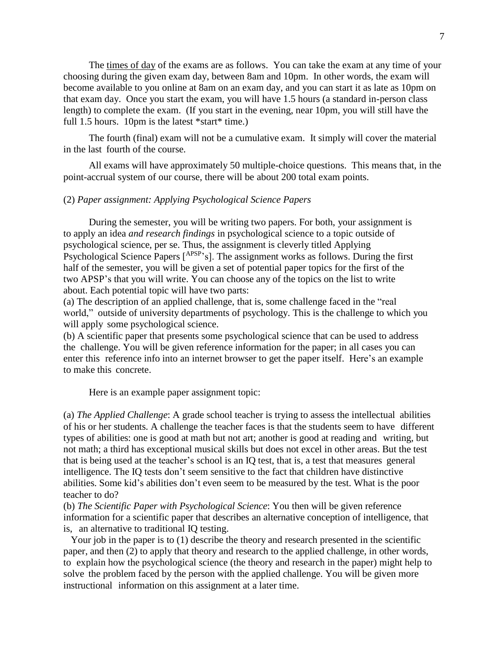The times of day of the exams are as follows. You can take the exam at any time of your choosing during the given exam day, between 8am and 10pm. In other words, the exam will become available to you online at 8am on an exam day, and you can start it as late as 10pm on that exam day. Once you start the exam, you will have 1.5 hours (a standard in-person class length) to complete the exam. (If you start in the evening, near 10pm, you will still have the full 1.5 hours. 10pm is the latest \*start\* time.)

The fourth (final) exam will not be a cumulative exam. It simply will cover the material in the last fourth of the course.

All exams will have approximately 50 multiple-choice questions. This means that, in the point-accrual system of our course, there will be about 200 total exam points.

## (2) *Paper assignment: Applying Psychological Science Papers*

During the semester, you will be writing two papers. For both, your assignment is to apply an idea *and research findings* in psychological science to a topic outside of psychological science, per se. Thus, the assignment is cleverly titled Applying Psychological Science Papers [<sup>APSP</sup>'s]. The assignment works as follows. During the first half of the semester, you will be given a set of potential paper topics for the first of the two APSP's that you will write. You can choose any of the topics on the list to write about. Each potential topic will have two parts:

(a) The description of an applied challenge, that is, some challenge faced in the "real world," outside of university departments of psychology. This is the challenge to which you will apply some psychological science.

(b) A scientific paper that presents some psychological science that can be used to address the challenge. You will be given reference information for the paper; in all cases you can enter this reference info into an internet browser to get the paper itself. Here's an example to make this concrete.

Here is an example paper assignment topic:

(a) *The Applied Challenge*: A grade school teacher is trying to assess the intellectual abilities of his or her students. A challenge the teacher faces is that the students seem to have different types of abilities: one is good at math but not art; another is good at reading and writing, but not math; a third has exceptional musical skills but does not excel in other areas. But the test that is being used at the teacher's school is an IQ test, that is, a test that measures general intelligence. The IQ tests don't seem sensitive to the fact that children have distinctive abilities. Some kid's abilities don't even seem to be measured by the test. What is the poor teacher to do?

(b) *The Scientific Paper with Psychological Science*: You then will be given reference information for a scientific paper that describes an alternative conception of intelligence, that is, an alternative to traditional IQ testing.

Your job in the paper is to (1) describe the theory and research presented in the scientific paper, and then (2) to apply that theory and research to the applied challenge, in other words, to explain how the psychological science (the theory and research in the paper) might help to solve the problem faced by the person with the applied challenge. You will be given more instructional information on this assignment at a later time.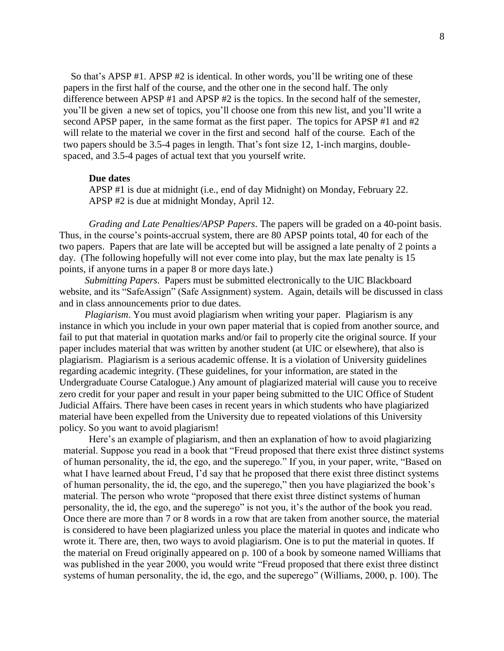So that's APSP #1. APSP #2 is identical. In other words, you'll be writing one of these papers in the first half of the course, and the other one in the second half. The only difference between APSP #1 and APSP #2 is the topics. In the second half of the semester, you'll be given a new set of topics, you'll choose one from this new list, and you'll write a second APSP paper, in the same format as the first paper. The topics for APSP #1 and #2 will relate to the material we cover in the first and second half of the course. Each of the two papers should be 3.5-4 pages in length. That's font size 12, 1-inch margins, doublespaced, and 3.5-4 pages of actual text that you yourself write.

### **Due dates**

APSP #1 is due at midnight (i.e., end of day Midnight) on Monday, February 22. APSP #2 is due at midnight Monday, April 12.

*Grading and Late Penalties/APSP Papers*. The papers will be graded on a 40-point basis. Thus, in the course's points-accrual system, there are 80 APSP points total, 40 for each of the two papers. Papers that are late will be accepted but will be assigned a late penalty of 2 points a day. (The following hopefully will not ever come into play, but the max late penalty is 15 points, if anyone turns in a paper 8 or more days late.)

*Submitting Papers*. Papers must be submitted electronically to the UIC Blackboard website, and its "SafeAssign" (Safe Assignment) system. Again, details will be discussed in class and in class announcements prior to due dates.

*Plagiarism*. You must avoid plagiarism when writing your paper. Plagiarism is any instance in which you include in your own paper material that is copied from another source, and fail to put that material in quotation marks and/or fail to properly cite the original source. If your paper includes material that was written by another student (at UIC or elsewhere), that also is plagiarism. Plagiarism is a serious academic offense. It is a violation of University guidelines regarding academic integrity. (These guidelines, for your information, are stated in the Undergraduate Course Catalogue.) Any amount of plagiarized material will cause you to receive zero credit for your paper and result in your paper being submitted to the UIC Office of Student Judicial Affairs. There have been cases in recent years in which students who have plagiarized material have been expelled from the University due to repeated violations of this University policy. So you want to avoid plagiarism!

Here's an example of plagiarism, and then an explanation of how to avoid plagiarizing material. Suppose you read in a book that "Freud proposed that there exist three distinct systems of human personality, the id, the ego, and the superego." If you, in your paper, write, "Based on what I have learned about Freud, I'd say that he proposed that there exist three distinct systems of human personality, the id, the ego, and the superego," then you have plagiarized the book's material. The person who wrote "proposed that there exist three distinct systems of human personality, the id, the ego, and the superego" is not you, it's the author of the book you read. Once there are more than 7 or 8 words in a row that are taken from another source, the material is considered to have been plagiarized unless you place the material in quotes and indicate who wrote it. There are, then, two ways to avoid plagiarism. One is to put the material in quotes. If the material on Freud originally appeared on p. 100 of a book by someone named Williams that was published in the year 2000, you would write "Freud proposed that there exist three distinct systems of human personality, the id, the ego, and the superego" (Williams, 2000, p. 100). The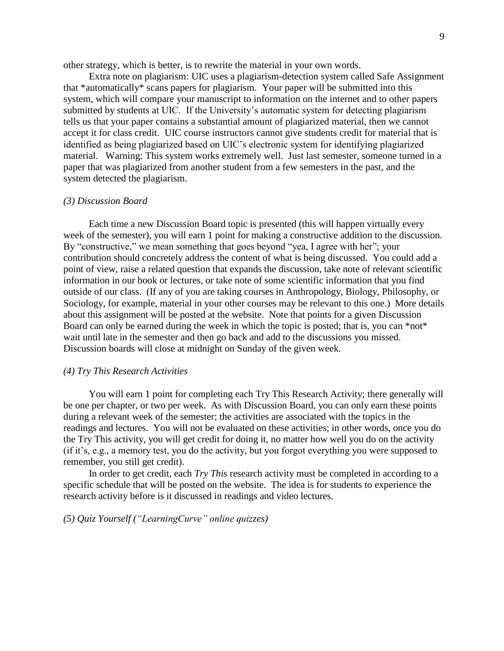other strategy, which is better, is to rewrite the material in your own words.

Extra note on plagiarism: UIC uses a plagiarism-detection system called Safe Assignment that \*automatically\* scans papers for plagiarism. Your paper will be submitted into this system, which will compare your manuscript to information on the internet and to other papers submitted by students at UIC. If the University's automatic system for detecting plagiarism tells us that your paper contains a substantial amount of plagiarized material, then we cannot accept it for class credit. UIC course instructors cannot give students credit for material that is identified as being plagiarized based on UIC's electronic system for identifying plagiarized material. Warning: This system works extremely well. Just last semester, someone turned in a paper that was plagiarized from another student from a few semesters in the past, and the system detected the plagiarism.

### *(3) Discussion Board*

Each time a new Discussion Board topic is presented (this will happen virtually every week of the semester), you will earn 1 point for making a constructive addition to the discussion. By "constructive," we mean something that goes beyond "yea, I agree with her"; your contribution should concretely address the content of what is being discussed. You could add a point of view, raise a related question that expands the discussion, take note of relevant scientific information in our book or lectures, or take note of some scientific information that you find outside of our class. (If any of you are taking courses in Anthropology, Biology, Philosophy, or Sociology, for example, material in your other courses may be relevant to this one.) More details about this assignment will be posted at the website. Note that points for a given Discussion Board can only be earned during the week in which the topic is posted; that is, you can \*not\* wait until late in the semester and then go back and add to the discussions you missed. Discussion boards will close at midnight on Sunday of the given week.

# *(4) Try This Research Activities*

You will earn 1 point for completing each Try This Research Activity; there generally will be one per chapter, or two per week. As with Discussion Board, you can only earn these points during a relevant week of the semester; the activities are associated with the topics in the readings and lectures. You will not be evaluated on these activities; in other words, once you do the Try This activity, you will get credit for doing it, no matter how well you do on the activity (if it's, e.g., a memory test, you do the activity, but you forgot everything you were supposed to remember, you still get credit).

In order to get credit, each *Try This* research activity must be completed in according to a specific schedule that will be posted on the website. The idea is for students to experience the research activity before is it discussed in readings and video lectures.

*(5) Quiz Yourself ("LearningCurve" online quizzes)*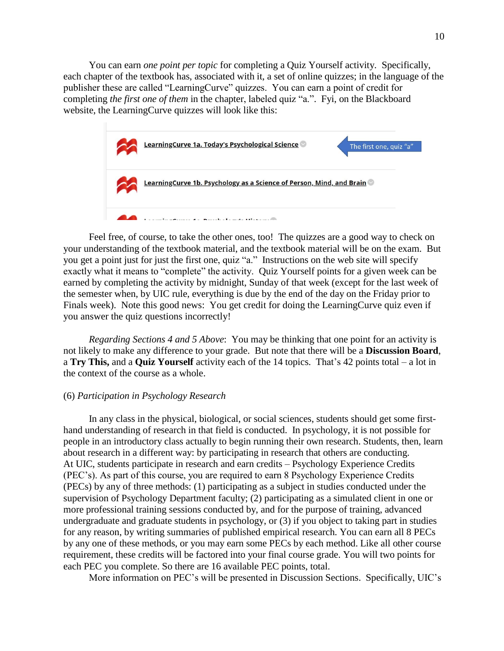You can earn *one point per topic* for completing a Quiz Yourself activity. Specifically, each chapter of the textbook has, associated with it, a set of online quizzes; in the language of the publisher these are called "LearningCurve" quizzes. You can earn a point of credit for completing *the first one of them* in the chapter, labeled quiz "a.". Fyi, on the Blackboard website, the LearningCurve quizzes will look like this:



Feel free, of course, to take the other ones, too! The quizzes are a good way to check on your understanding of the textbook material, and the textbook material will be on the exam. But you get a point just for just the first one, quiz "a." Instructions on the web site will specify exactly what it means to "complete" the activity. Quiz Yourself points for a given week can be earned by completing the activity by midnight, Sunday of that week (except for the last week of the semester when, by UIC rule, everything is due by the end of the day on the Friday prior to Finals week). Note this good news: You get credit for doing the LearningCurve quiz even if you answer the quiz questions incorrectly!

 *Regarding Sections 4 and 5 Above*: You may be thinking that one point for an activity is not likely to make any difference to your grade. But note that there will be a **Discussion Board**, a **Try This,** and a **Quiz Yourself** activity each of the 14 topics. That's 42 points total – a lot in the context of the course as a whole.

### (6) *Participation in Psychology Research*

In any class in the physical, biological, or social sciences, students should get some firsthand understanding of research in that field is conducted. In psychology, it is not possible for people in an introductory class actually to begin running their own research. Students, then, learn about research in a different way: by participating in research that others are conducting. At UIC, students participate in research and earn credits – Psychology Experience Credits (PEC's). As part of this course, you are required to earn 8 Psychology Experience Credits (PECs) by any of three methods: (1) participating as a subject in studies conducted under the supervision of Psychology Department faculty; (2) participating as a simulated client in one or more professional training sessions conducted by, and for the purpose of training, advanced undergraduate and graduate students in psychology, or (3) if you object to taking part in studies for any reason, by writing summaries of published empirical research. You can earn all 8 PECs by any one of these methods, or you may earn some PECs by each method. Like all other course requirement, these credits will be factored into your final course grade. You will two points for each PEC you complete. So there are 16 available PEC points, total.

More information on PEC's will be presented in Discussion Sections. Specifically, UIC's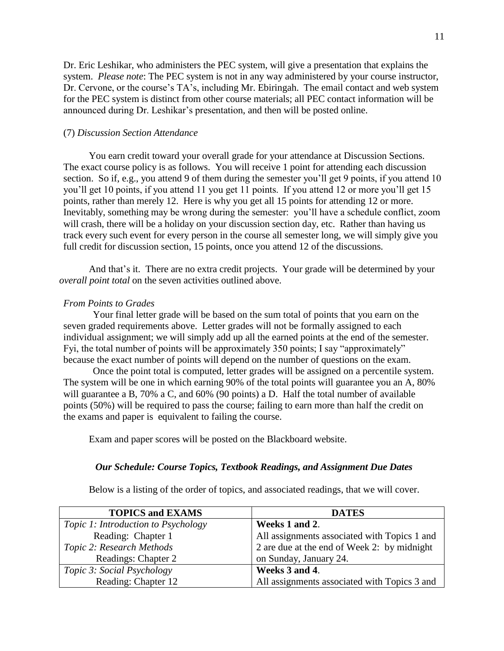Dr. Eric Leshikar, who administers the PEC system, will give a presentation that explains the system. *Please note*: The PEC system is not in any way administered by your course instructor, Dr. Cervone, or the course's TA's, including Mr. Ebiringah. The email contact and web system for the PEC system is distinct from other course materials; all PEC contact information will be announced during Dr. Leshikar's presentation, and then will be posted online.

# (7) *Discussion Section Attendance*

You earn credit toward your overall grade for your attendance at Discussion Sections. The exact course policy is as follows. You will receive 1 point for attending each discussion section. So if, e.g., you attend 9 of them during the semester you'll get 9 points, if you attend 10 you'll get 10 points, if you attend 11 you get 11 points. If you attend 12 or more you'll get 15 points, rather than merely 12. Here is why you get all 15 points for attending 12 or more. Inevitably, something may be wrong during the semester: you'll have a schedule conflict, zoom will crash, there will be a holiday on your discussion section day, etc. Rather than having us track every such event for every person in the course all semester long, we will simply give you full credit for discussion section, 15 points, once you attend 12 of the discussions.

And that's it. There are no extra credit projects. Your grade will be determined by your *overall point total* on the seven activities outlined above.

# *From Points to Grades*

Your final letter grade will be based on the sum total of points that you earn on the seven graded requirements above. Letter grades will not be formally assigned to each individual assignment; we will simply add up all the earned points at the end of the semester. Fyi, the total number of points will be approximately 350 points; I say "approximately" because the exact number of points will depend on the number of questions on the exam.

Once the point total is computed, letter grades will be assigned on a percentile system. The system will be one in which earning 90% of the total points will guarantee you an A, 80% will guarantee a B, 70% a C, and 60% (90 points) a D. Half the total number of available points (50%) will be required to pass the course; failing to earn more than half the credit on the exams and paper is equivalent to failing the course.

Exam and paper scores will be posted on the Blackboard website.

## *Our Schedule: Course Topics, Textbook Readings, and Assignment Due Dates*

Below is a listing of the order of topics, and associated readings, that we will cover.

| <b>TOPICS and EXAMS</b>                    | <b>DATES</b>                                 |
|--------------------------------------------|----------------------------------------------|
| <i>Topic 1: Introduction to Psychology</i> | Weeks 1 and 2.                               |
| Reading: Chapter 1                         | All assignments associated with Topics 1 and |
| Topic 2: Research Methods                  | 2 are due at the end of Week 2: by midnight  |
| Readings: Chapter 2                        | on Sunday, January 24.                       |
| <i>Topic 3: Social Psychology</i>          | Weeks 3 and 4.                               |
| Reading: Chapter 12                        | All assignments associated with Topics 3 and |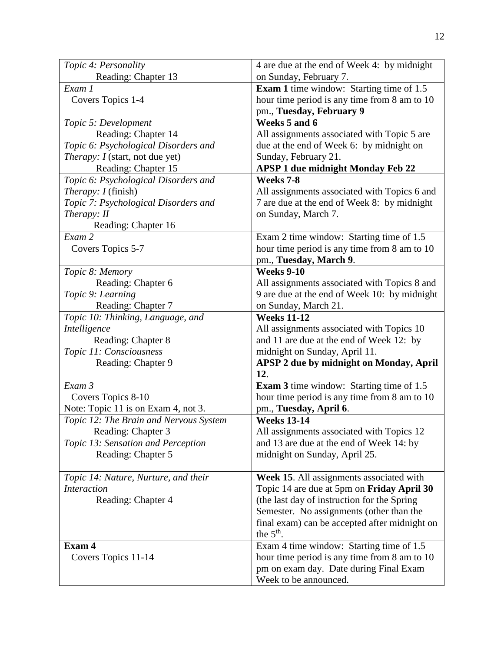| Topic 4: Personality                             | 4 are due at the end of Week 4: by midnight     |
|--------------------------------------------------|-------------------------------------------------|
| Reading: Chapter 13                              | on Sunday, February 7.                          |
| Exam 1                                           | <b>Exam 1</b> time window: Starting time of 1.5 |
| Covers Topics 1-4                                | hour time period is any time from 8 am to 10    |
|                                                  | pm., Tuesday, February 9                        |
| Topic 5: Development                             | Weeks 5 and 6                                   |
| Reading: Chapter 14                              | All assignments associated with Topic 5 are     |
| Topic 6: Psychological Disorders and             | due at the end of Week 6: by midnight on        |
| <i>Therapy: I</i> (start, not due yet)           | Sunday, February 21.                            |
| Reading: Chapter 15                              | <b>APSP 1 due midnight Monday Feb 22</b>        |
| Topic 6: Psychological Disorders and             | Weeks 7-8                                       |
|                                                  |                                                 |
| <i>Therapy: I</i> (finish)                       | All assignments associated with Topics 6 and    |
| Topic 7: Psychological Disorders and             | 7 are due at the end of Week 8: by midnight     |
| Therapy: II                                      | on Sunday, March 7.                             |
| Reading: Chapter 16                              |                                                 |
| Exam 2                                           | Exam 2 time window: Starting time of 1.5        |
| Covers Topics 5-7                                | hour time period is any time from 8 am to 10    |
|                                                  | pm., Tuesday, March 9.                          |
| Topic 8: Memory                                  | <b>Weeks 9-10</b>                               |
| Reading: Chapter 6                               | All assignments associated with Topics 8 and    |
| Topic 9: Learning                                | 9 are due at the end of Week 10: by midnight    |
| Reading: Chapter 7                               | on Sunday, March 21.                            |
| Topic 10: Thinking, Language, and                | <b>Weeks 11-12</b>                              |
| Intelligence                                     | All assignments associated with Topics 10       |
| Reading: Chapter 8                               | and 11 are due at the end of Week 12: by        |
| Topic 11: Consciousness                          | midnight on Sunday, April 11.                   |
| Reading: Chapter 9                               | APSP 2 due by midnight on Monday, April         |
|                                                  | 12.                                             |
| Exam 3                                           | <b>Exam 3</b> time window: Starting time of 1.5 |
| Covers Topics 8-10                               | hour time period is any time from 8 am to 10    |
| Note: Topic 11 is on Exam $\frac{4}{1}$ , not 3. | pm., Tuesday, April 6.                          |
| Topic 12: The Brain and Nervous System           | <b>Weeks 13-14</b>                              |
| Reading: Chapter 3                               | All assignments associated with Topics 12       |
| Topic 13: Sensation and Perception               | and 13 are due at the end of Week 14: by        |
| Reading: Chapter 5                               | midnight on Sunday, April 25.                   |
|                                                  |                                                 |
| Topic 14: Nature, Nurture, and their             | Week 15. All assignments associated with        |
| <b>Interaction</b>                               | Topic 14 are due at 5pm on Friday April 30      |
| Reading: Chapter 4                               | (the last day of instruction for the Spring     |
|                                                  | Semester. No assignments (other than the        |
|                                                  | final exam) can be accepted after midnight on   |
|                                                  | the $5th$ .                                     |
| Exam 4                                           | Exam 4 time window: Starting time of 1.5        |
| Covers Topics 11-14                              | hour time period is any time from 8 am to 10    |
|                                                  | pm on exam day. Date during Final Exam          |
|                                                  | Week to be announced.                           |